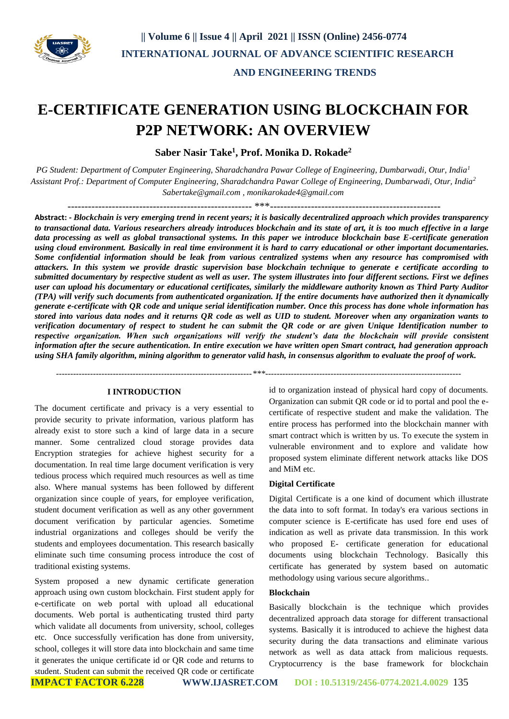

# **E-CERTIFICATE GENERATION USING BLOCKCHAIN FOR P2P NETWORK: AN OVERVIEW**

**Saber Nasir Take<sup>1</sup> , Prof. Monika D. Rokade<sup>2</sup>**

*PG Student: Department of Computer Engineering, Sharadchandra Pawar College of Engineering, Dumbarwadi, Otur, India<sup>1</sup> Assistant Prof.: Department of Computer Engineering, Sharadchandra Pawar College of Engineering, Dumbarwadi, Otur, India<sup>2</sup> [Sabertake@gmail.com](mailto:Sabertake@gmail.com) , monikarokade4@gmail.com*

------------------------------------------------------ \*\*\*--------------------------------------------------

**Abstract: -** *Blockchain is very emerging trend in recent years; it is basically decentralized approach which provides transparency to transactional data. Various researchers already introduces blockchain and its state of art, it is too much effective in a large data processing as well as global transactional systems. In this paper we introduce blockchain base E-certificate generation using cloud environment. Basically in real time environment it is hard to carry educational or other important documentaries. Some confidential information should be leak from various centralized systems when any resource has compromised with attackers. In this system we provide drastic supervision base blockchain technique to generate e certificate according to submitted documentary by respective student as well as user. The system illustrates into four different sections. First we defines user can upload his documentary or educational certificates, similarly the middleware authority known as Third Party Auditor (TPA) will verify such documents from authenticated organization. If the entire documents have authorized then it dynamically generate e-certificate with QR code and unique serial identification number. Once this process has done whole information has stored into various data nodes and it returns QR code as well as UID to student. Moreover when any organization wants to verification documentary of respect to student he can submit the QR code or are given Unique Identification number to respective organization. When such organizations will verify the student's data the blockchain will provide consistent information after the secure authentication. In entire execution we have written open Smart contract, had generation approach using SHA family algorithm, mining algorithm to generator valid hash, in consensus algorithm to evaluate the proof of work.*

 *---------------------------------------------------------------------\*\*\*---------------------------------------------------------------------*

## **I INTRODUCTION**

The document certificate and privacy is a very essential to provide security to private information, various platform has already exist to store such a kind of large data in a secure manner. Some centralized cloud storage provides data Encryption strategies for achieve highest security for a documentation. In real time large document verification is very tedious process which required much resources as well as time also. Where manual systems has been followed by different organization since couple of years, for employee verification, student document verification as well as any other government document verification by particular agencies. Sometime industrial organizations and colleges should be verify the students and employees documentation. This research basically eliminate such time consuming process introduce the cost of traditional existing systems.

System proposed a new dynamic certificate generation approach using own custom blockchain. First student apply for e-certificate on web portal with upload all educational documents. Web portal is authenticating trusted third party which validate all documents from university, school, colleges etc. Once successfully verification has done from university, school, colleges it will store data into blockchain and same time it generates the unique certificate id or QR code and returns to student. Student can submit the received QR code or certificate id to organization instead of physical hard copy of documents. Organization can submit QR code or id to portal and pool the ecertificate of respective student and make the validation. The entire process has performed into the blockchain manner with smart contract which is written by us. To execute the system in vulnerable environment and to explore and validate how proposed system eliminate different network attacks like DOS and MiM etc.

### **Digital Certificate**

Digital Certificate is a one kind of document which illustrate the data into to soft format. In today's era various sections in computer science is E-certificate has used fore end uses of indication as well as private data transmission. In this work who proposed E- certificate generation for educational documents using blockchain Technology. Basically this certificate has generated by system based on automatic methodology using various secure algorithms..

### **Blockchain**

Basically blockchain is the technique which provides decentralized approach data storage for different transactional systems. Basically it is introduced to achieve the highest data security during the data transactions and eliminate various network as well as data attack from malicious requests. Cryptocurrency is the base framework for blockchain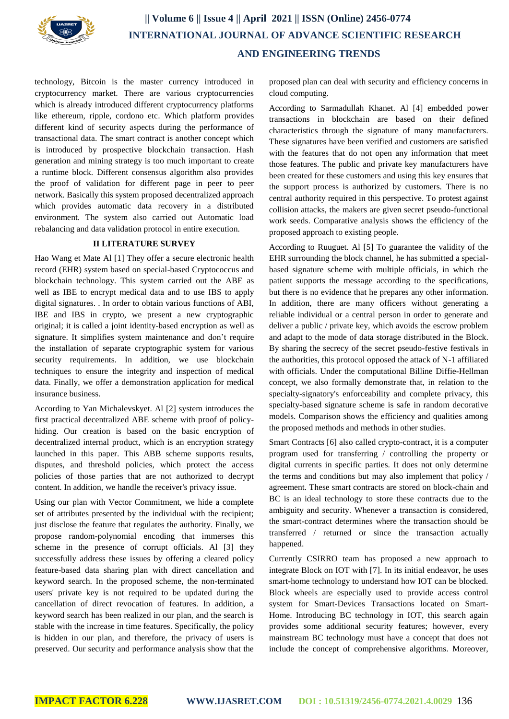

technology, Bitcoin is the master currency introduced in cryptocurrency market. There are various cryptocurrencies which is already introduced different cryptocurrency platforms like ethereum, ripple, cordono etc. Which platform provides different kind of security aspects during the performance of transactional data. The smart contract is another concept which is introduced by prospective blockchain transaction. Hash generation and mining strategy is too much important to create a runtime block. Different consensus algorithm also provides the proof of validation for different page in peer to peer network. Basically this system proposed decentralized approach which provides automatic data recovery in a distributed environment. The system also carried out Automatic load rebalancing and data validation protocol in entire execution.

## **II LITERATURE SURVEY**

Hao Wang et Mate Al [1] They offer a secure electronic health record (EHR) system based on special-based Cryptococcus and blockchain technology. This system carried out the ABE as well as IBE to encrypt medical data and to use IBS to apply digital signatures. . In order to obtain various functions of ABI, IBE and IBS in crypto, we present a new cryptographic original; it is called a joint identity-based encryption as well as signature. It simplifies system maintenance and don't require the installation of separate cryptographic system for various security requirements. In addition, we use blockchain techniques to ensure the integrity and inspection of medical data. Finally, we offer a demonstration application for medical insurance business.

According to Yan Michalevskyet. Al [2] system introduces the first practical decentralized ABE scheme with proof of policyhiding. Our creation is based on the basic encryption of decentralized internal product, which is an encryption strategy launched in this paper. This ABB scheme supports results, disputes, and threshold policies, which protect the access policies of those parties that are not authorized to decrypt content. In addition, we handle the receiver's privacy issue.

Using our plan with Vector Commitment, we hide a complete set of attributes presented by the individual with the recipient; just disclose the feature that regulates the authority. Finally, we propose random-polynomial encoding that immerses this scheme in the presence of corrupt officials. Al [3] they successfully address these issues by offering a cleared policy feature-based data sharing plan with direct cancellation and keyword search. In the proposed scheme, the non-terminated users' private key is not required to be updated during the cancellation of direct revocation of features. In addition, a keyword search has been realized in our plan, and the search is stable with the increase in time features. Specifically, the policy is hidden in our plan, and therefore, the privacy of users is preserved. Our security and performance analysis show that the

proposed plan can deal with security and efficiency concerns in cloud computing.

According to Sarmadullah Khanet. Al [4] embedded power transactions in blockchain are based on their defined characteristics through the signature of many manufacturers. These signatures have been verified and customers are satisfied with the features that do not open any information that meet those features. The public and private key manufacturers have been created for these customers and using this key ensures that the support process is authorized by customers. There is no central authority required in this perspective. To protest against collision attacks, the makers are given secret pseudo-functional work seeds. Comparative analysis shows the efficiency of the proposed approach to existing people.

According to Ruuguet. Al [5] To guarantee the validity of the EHR surrounding the block channel, he has submitted a specialbased signature scheme with multiple officials, in which the patient supports the message according to the specifications, but there is no evidence that he prepares any other information. In addition, there are many officers without generating a reliable individual or a central person in order to generate and deliver a public / private key, which avoids the escrow problem and adapt to the mode of data storage distributed in the Block. By sharing the secrecy of the secret pseudo-festive festivals in the authorities, this protocol opposed the attack of N-1 affiliated with officials. Under the computational Billine Diffie-Hellman concept, we also formally demonstrate that, in relation to the specialty-signatory's enforceability and complete privacy, this specialty-based signature scheme is safe in random decorative models. Comparison shows the efficiency and qualities among the proposed methods and methods in other studies.

Smart Contracts [6] also called crypto-contract, it is a computer program used for transferring / controlling the property or digital currents in specific parties. It does not only determine the terms and conditions but may also implement that policy / agreement. These smart contracts are stored on block-chain and BC is an ideal technology to store these contracts due to the ambiguity and security. Whenever a transaction is considered, the smart-contract determines where the transaction should be transferred / returned or since the transaction actually happened.

Currently CSIRRO team has proposed a new approach to integrate Block on IOT with [7]. In its initial endeavor, he uses smart-home technology to understand how IOT can be blocked. Block wheels are especially used to provide access control system for Smart-Devices Transactions located on Smart-Home. Introducing BC technology in IOT, this search again provides some additional security features; however, every mainstream BC technology must have a concept that does not include the concept of comprehensive algorithms. Moreover,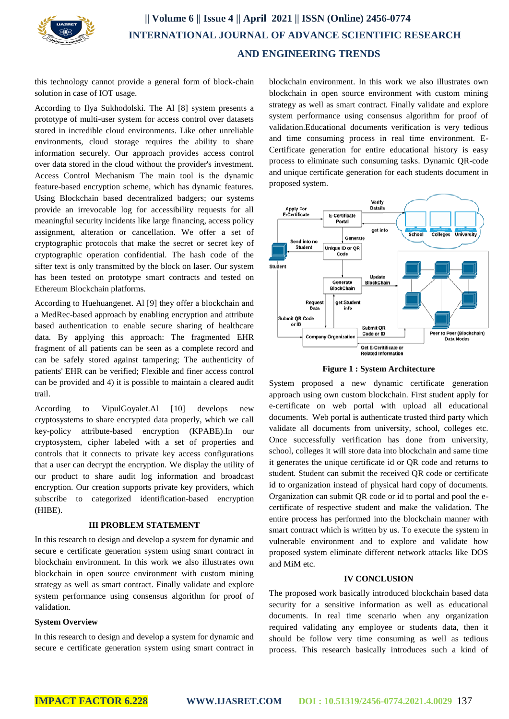

# **|| Volume 6 || Issue 4 || April 2021 || ISSN (Online) 2456-0774 INTERNATIONAL JOURNAL OF ADVANCE SCIENTIFIC RESEARCH AND ENGINEERING TRENDS**

this technology cannot provide a general form of block-chain solution in case of IOT usage.

According to Ilya Sukhodolski. The Al [8] system presents a prototype of multi-user system for access control over datasets stored in incredible cloud environments. Like other unreliable environments, cloud storage requires the ability to share information securely. Our approach provides access control over data stored in the cloud without the provider's investment. Access Control Mechanism The main tool is the dynamic feature-based encryption scheme, which has dynamic features. Using Blockchain based decentralized badgers; our systems provide an irrevocable log for accessibility requests for all meaningful security incidents like large financing, access policy assignment, alteration or cancellation. We offer a set of cryptographic protocols that make the secret or secret key of cryptographic operation confidential. The hash code of the sifter text is only transmitted by the block on laser. Our system has been tested on prototype smart contracts and tested on Ethereum Blockchain platforms.

According to Huehuangenet. Al [9] they offer a blockchain and a MedRec-based approach by enabling encryption and attribute based authentication to enable secure sharing of healthcare data. By applying this approach: The fragmented EHR fragment of all patients can be seen as a complete record and can be safely stored against tampering; The authenticity of patients' EHR can be verified; Flexible and finer access control can be provided and 4) it is possible to maintain a cleared audit trail.

According to VipulGoyalet.Al [10] develops new cryptosystems to share encrypted data properly, which we call key-policy attribute-based encryption (KPABE).In cryptosystem, cipher labeled with a set of properties and controls that it connects to private key access configurations that a user can decrypt the encryption. We display the utility of our product to share audit log information and broadcast encryption. Our creation supports private key providers, which subscribe to categorized identification-based encryption (HIBE).

### **III PROBLEM STATEMENT**

In this research to design and develop a system for dynamic and secure e certificate generation system using smart contract in blockchain environment. In this work we also illustrates own blockchain in open source environment with custom mining strategy as well as smart contract. Finally validate and explore system performance using consensus algorithm for proof of validation.

### **System Overview**

In this research to design and develop a system for dynamic and secure e certificate generation system using smart contract in

blockchain environment. In this work we also illustrates own blockchain in open source environment with custom mining strategy as well as smart contract. Finally validate and explore system performance using consensus algorithm for proof of validation.Educational documents verification is very tedious and time consuming process in real time environment. E-Certificate generation for entire educational history is easy process to eliminate such consuming tasks. Dynamic QR-code and unique certificate generation for each students document in proposed system.



**Figure 1 : System Architecture**

System proposed a new dynamic certificate generation approach using own custom blockchain. First student apply for e-certificate on web portal with upload all educational documents. Web portal is authenticate trusted third party which validate all documents from university, school, colleges etc. Once successfully verification has done from university, school, colleges it will store data into blockchain and same time it generates the unique certificate id or QR code and returns to student. Student can submit the received QR code or certificate id to organization instead of physical hard copy of documents. Organization can submit QR code or id to portal and pool the ecertificate of respective student and make the validation. The entire process has performed into the blockchain manner with smart contract which is written by us. To execute the system in vulnerable environment and to explore and validate how proposed system eliminate different network attacks like DOS and MiM etc.

### **IV CONCLUSION**

The proposed work basically introduced blockchain based data security for a sensitive information as well as educational documents. In real time scenario when any organization required validating any employee or students data, then it should be follow very time consuming as well as tedious process. This research basically introduces such a kind of